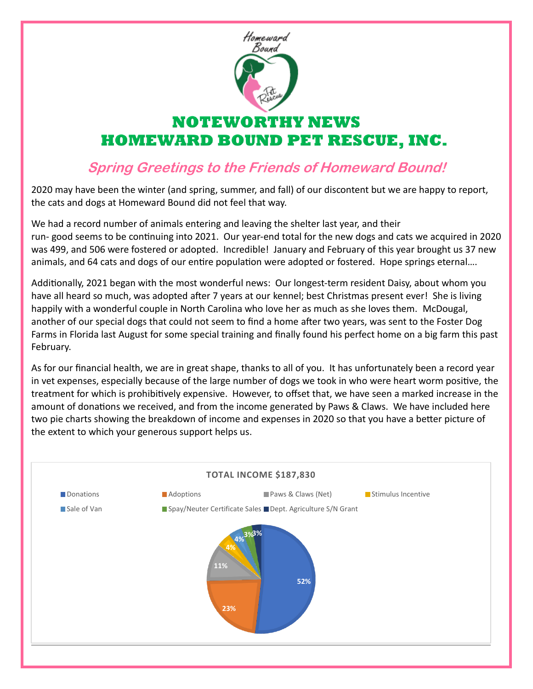

# **NOTEWORTHY NEWS HOMEWARD BOUND PET RESCUE, INC.**

# **Spring Greetings to the Friends of Homeward Bound!**

2020 may have been the winter (and spring, summer, and fall) of our discontent but we are happy to report, the cats and dogs at Homeward Bound did not feel that way.

We had a record number of animals entering and leaving the shelter last year, and their run- good seems to be continuing into 2021. Our year-end total for the new dogs and cats we acquired in 2020 was 499, and 506 were fostered or adopted. Incredible! January and February of this year brought us 37 new animals, and 64 cats and dogs of our entire population were adopted or fostered. Hope springs eternal….

Additionally, 2021 began with the most wonderful news: Our longest-term resident Daisy, about whom you have all heard so much, was adopted after 7 years at our kennel; best Christmas present ever! She is living happily with a wonderful couple in North Carolina who love her as much as she loves them. McDougal, another of our special dogs that could not seem to find a home after two years, was sent to the Foster Dog Farms in Florida last August for some special training and finally found his perfect home on a big farm this past February.

As for our financial health, we are in great shape, thanks to all of you. It has unfortunately been a record year in vet expenses, especially because of the large number of dogs we took in who were heart worm positive, the treatment for which is prohibitively expensive. However, to offset that, we have seen a marked increase in the amount of donations we received, and from the income generated by Paws & Claws. We have included here two pie charts showing the breakdown of income and expenses in 2020 so that you have a better picture of the extent to which your generous support helps us.

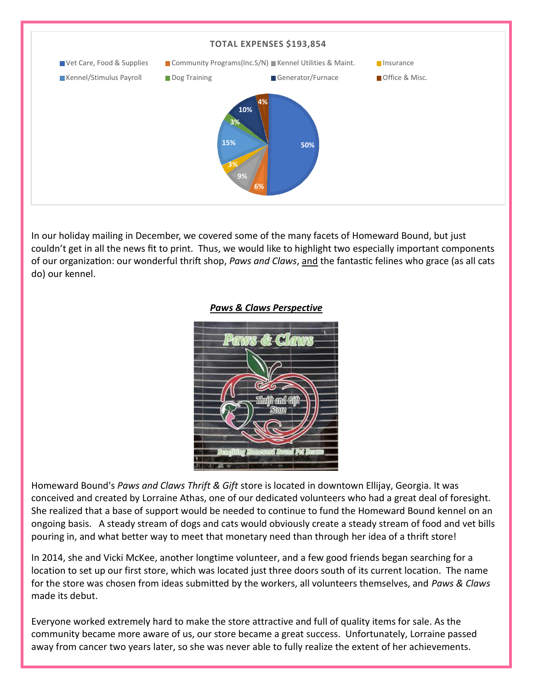

In our holiday mailing in December, we covered some of the many facets of Homeward Bound, but just couldn't get in all the news fit to print. Thus, we would like to highlight two especially important components of our organization: our wonderful thrift shop, *Paws and Claws*, and the fantastic felines who grace (as all cats do) our kennel.

#### *Paws & Claws Perspective*



Homeward Bound's *Paws and Claws Thrift & Gift* store is located in downtown Ellijay, Georgia. It was conceived and created by Lorraine Athas, one of our dedicated volunteers who had a great deal of foresight. She realized that a base of support would be needed to continue to fund the Homeward Bound kennel on an ongoing basis. A steady stream of dogs and cats would obviously create a steady stream of food and vet bills pouring in, and what better way to meet that monetary need than through her idea of a thrift store!

In 2014, she and Vicki McKee, another longtime volunteer, and a few good friends began searching for a location to set up our first store, which was located just three doors south of its current location. The name for the store was chosen from ideas submitted by the workers, all volunteers themselves, and *Paws & Claws* made its debut.

Everyone worked extremely hard to make the store attractive and full of quality items for sale. As the community became more aware of us, our store became a great success. Unfortunately, Lorraine passed away from cancer two years later, so she was never able to fully realize the extent of her achievements.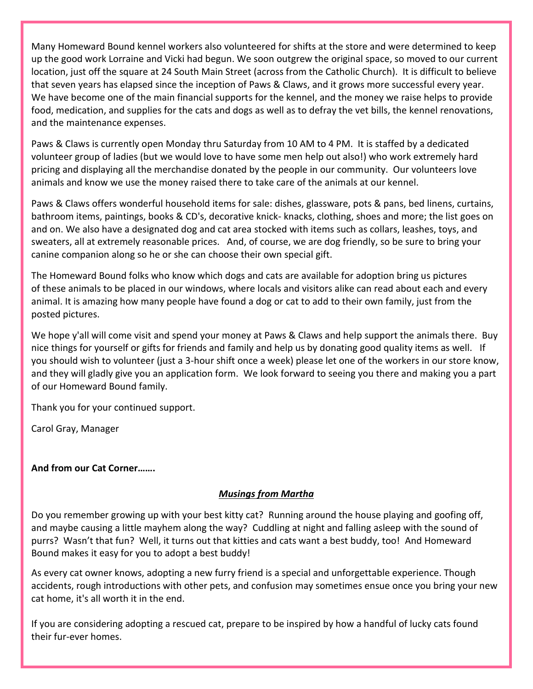Many Homeward Bound kennel workers also volunteered for shifts at the store and were determined to keep up the good work Lorraine and Vicki had begun. We soon outgrew the original space, so moved to our current location, just off the square at 24 South Main Street (across from the Catholic Church). It is difficult to believe that seven years has elapsed since the inception of Paws & Claws, and it grows more successful every year. We have become one of the main financial supports for the kennel, and the money we raise helps to provide food, medication, and supplies for the cats and dogs as well as to defray the vet bills, the kennel renovations, and the maintenance expenses.

Paws & Claws is currently open Monday thru Saturday from 10 AM to 4 PM. It is staffed by a dedicated volunteer group of ladies (but we would love to have some men help out also!) who work extremely hard pricing and displaying all the merchandise donated by the people in our community. Our volunteers love animals and know we use the money raised there to take care of the animals at our kennel.

Paws & Claws offers wonderful household items for sale: dishes, glassware, pots & pans, bed linens, curtains, bathroom items, paintings, books & CD's, decorative knick- knacks, clothing, shoes and more; the list goes on and on. We also have a designated dog and cat area stocked with items such as collars, leashes, toys, and sweaters, all at extremely reasonable prices. And, of course, we are dog friendly, so be sure to bring your canine companion along so he or she can choose their own special gift.

The Homeward Bound folks who know which dogs and cats are available for adoption bring us pictures of these animals to be placed in our windows, where locals and visitors alike can read about each and every animal. It is amazing how many people have found a dog or cat to add to their own family, just from the posted pictures.

We hope y'all will come visit and spend your money at Paws & Claws and help support the animals there. Buy nice things for yourself or gifts for friends and family and help us by donating good quality items as well. If you should wish to volunteer (just a 3-hour shift once a week) please let one of the workers in our store know, and they will gladly give you an application form. We look forward to seeing you there and making you a part of our Homeward Bound family.

Thank you for your continued support.

Carol Gray, Manager

#### **And from our Cat Corner…….**

#### *Musings from Martha*

Do you remember growing up with your best kitty cat? Running around the house playing and goofing off, and maybe causing a little mayhem along the way? Cuddling at night and falling asleep with the sound of purrs? Wasn't that fun? Well, it turns out that kitties and cats want a best buddy, too! And Homeward Bound makes it easy for you to adopt a best buddy!

As every cat owner knows, adopting a new furry friend is a special and unforgettable experience. Though accidents, rough introductions with other pets, and confusion may sometimes ensue once you bring your new cat home, it's all worth it in the end.

If you are considering adopting a rescued cat, prepare to be inspired by how a handful of lucky cats found their fur-ever homes.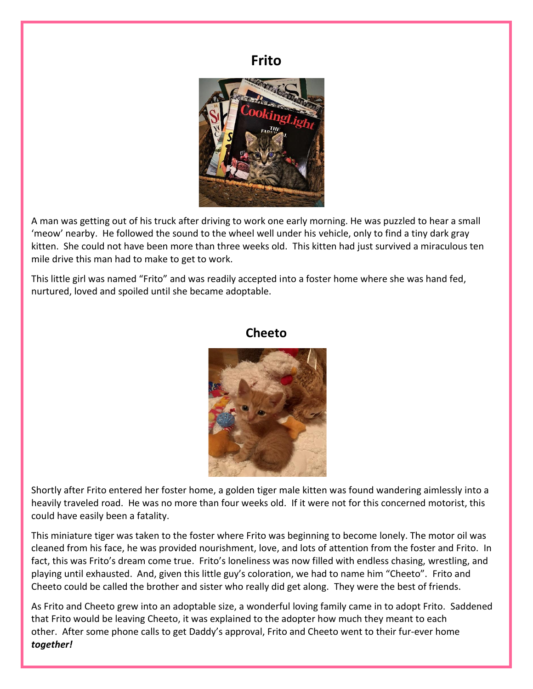# **Frito**



A man was getting out of his truck after driving to work one early morning. He was puzzled to hear a small 'meow' nearby. He followed the sound to the wheel well under his vehicle, only to find a tiny dark gray kitten. She could not have been more than three weeks old. This kitten had just survived a miraculous ten mile drive this man had to make to get to work.

This little girl was named "Frito" and was readily accepted into a foster home where she was hand fed, nurtured, loved and spoiled until she became adoptable.

## **Cheeto**



Shortly after Frito entered her foster home, a golden tiger male kitten was found wandering aimlessly into a heavily traveled road. He was no more than four weeks old. If it were not for this concerned motorist, this could have easily been a fatality.

This miniature tiger was taken to the foster where Frito was beginning to become lonely. The motor oil was cleaned from his face, he was provided nourishment, love, and lots of attention from the foster and Frito. In fact, this was Frito's dream come true. Frito's loneliness was now filled with endless chasing, wrestling, and playing until exhausted. And, given this little guy's coloration, we had to name him "Cheeto". Frito and Cheeto could be called the brother and sister who really did get along. They were the best of friends.

As Frito and Cheeto grew into an adoptable size, a wonderful loving family came in to adopt Frito. Saddened that Frito would be leaving Cheeto, it was explained to the adopter how much they meant to each other. After some phone calls to get Daddy's approval, Frito and Cheeto went to their fur-ever home *together!*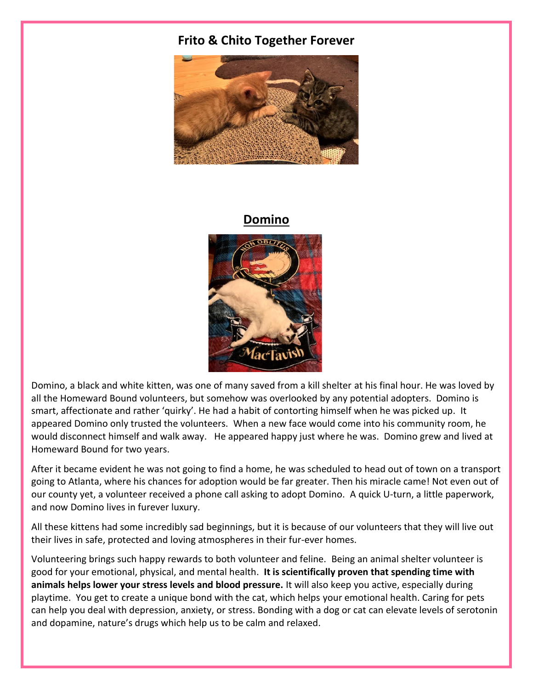## **Frito & Chito Together Forever**



## **Domino**



Domino, a black and white kitten, was one of many saved from a kill shelter at his final hour. He was loved by all the Homeward Bound volunteers, but somehow was overlooked by any potential adopters. Domino is smart, affectionate and rather 'quirky'. He had a habit of contorting himself when he was picked up. It appeared Domino only trusted the volunteers. When a new face would come into his community room, he would disconnect himself and walk away. He appeared happy just where he was. Domino grew and lived at Homeward Bound for two years.

After it became evident he was not going to find a home, he was scheduled to head out of town on a transport going to Atlanta, where his chances for adoption would be far greater. Then his miracle came! Not even out of our county yet, a volunteer received a phone call asking to adopt Domino. A quick U-turn, a little paperwork, and now Domino lives in furever luxury.

All these kittens had some incredibly sad beginnings, but it is because of our volunteers that they will live out their lives in safe, protected and loving atmospheres in their fur-ever homes.

Volunteering brings such happy rewards to both volunteer and feline. Being an animal shelter volunteer is good for your emotional, physical, and mental health. **It is scientifically proven that spending time with animals helps lower your stress levels and blood pressure.** It will also keep you active, especially during playtime. You get to create a unique bond with the cat, which helps your emotional health. Caring for pets can help you deal with depression, anxiety, or stress. Bonding with a dog or cat can elevate levels of serotonin and dopamine, nature's drugs which help us to be calm and relaxed.